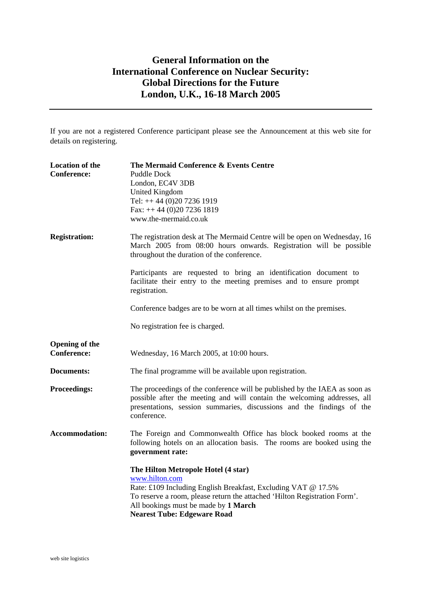## **General Information on the International Conference on Nuclear Security: Global Directions for the Future London, U.K., 16-18 March 2005**

If you are not a registered Conference participant please see the Announcement at this web site for details on registering.

| <b>Location of the</b><br><b>Conference:</b> | The Mermaid Conference & Events Centre<br><b>Puddle Dock</b><br>London, EC4V 3DB<br><b>United Kingdom</b><br>Tel: ++44 (0)20 7236 1919<br>Fax: ++44 (0)20 7236 1819<br>www.the-mermaid.co.uk                                                                                      |
|----------------------------------------------|-----------------------------------------------------------------------------------------------------------------------------------------------------------------------------------------------------------------------------------------------------------------------------------|
| <b>Registration:</b>                         | The registration desk at The Mermaid Centre will be open on Wednesday, 16<br>March 2005 from 08:00 hours onwards. Registration will be possible<br>throughout the duration of the conference.                                                                                     |
|                                              | Participants are requested to bring an identification document to<br>facilitate their entry to the meeting premises and to ensure prompt<br>registration.                                                                                                                         |
|                                              | Conference badges are to be worn at all times whilst on the premises.                                                                                                                                                                                                             |
|                                              | No registration fee is charged.                                                                                                                                                                                                                                                   |
| <b>Opening of the</b><br><b>Conference:</b>  | Wednesday, 16 March 2005, at 10:00 hours.                                                                                                                                                                                                                                         |
| <b>Documents:</b>                            | The final programme will be available upon registration.                                                                                                                                                                                                                          |
| <b>Proceedings:</b>                          | The proceedings of the conference will be published by the IAEA as soon as<br>possible after the meeting and will contain the welcoming addresses, all<br>presentations, session summaries, discussions and the findings of the<br>conference.                                    |
| <b>Accommodation:</b>                        | The Foreign and Commonwealth Office has block booked rooms at the<br>following hotels on an allocation basis. The rooms are booked using the<br>government rate:                                                                                                                  |
|                                              | The Hilton Metropole Hotel (4 star)<br>www.hilton.com<br>Rate: £109 Including English Breakfast, Excluding VAT @ 17.5%<br>To reserve a room, please return the attached 'Hilton Registration Form'.<br>All bookings must be made by 1 March<br><b>Nearest Tube: Edgeware Road</b> |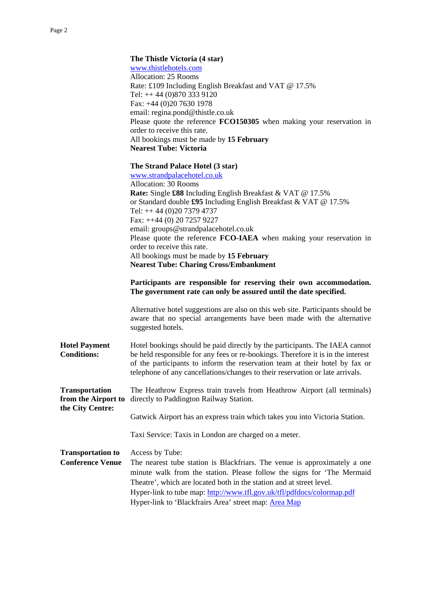| The Thistle Victoria (4 star)                                        |
|----------------------------------------------------------------------|
| www.thistlehotels.com                                                |
| Allocation: 25 Rooms                                                 |
| Rate: £109 Including English Breakfast and VAT @ 17.5%               |
| Tel: $++ 44 (0)870 333 9120$                                         |
| Fax: $+44$ (0)20 7630 1978                                           |
| email: regina.pond@thistle.co.uk                                     |
| Please quote the reference FCO150305 when making your reservation in |
| order to receive this rate.                                          |
| All bookings must be made by 15 February                             |
| <b>Nearest Tube: Victoria</b>                                        |
| The Strand Palace Hotel (3 star)                                     |
| www.strandpalacehotel.co.uk                                          |
| Allocation: 30 Rooms                                                 |
|                                                                      |

 **Rate:** Single **£88** Including English Breakfast & VAT @ 17.5% or Standard double **£95** Including English Breakfast & VAT @ 17.5% Tel: ++ 44 (0)20 7379 4737 Fax: ++44 (0) 20 7257 9227 email: groups@strandpalacehotel.co.uk Please quote the reference **FCO-IAEA** when making your reservation in order to receive this rate. All bookings must be made by **15 February Nearest Tube: Charing Cross/Embankment**

## **Participants are responsible for reserving their own accommodation. The government rate can only be assured until the date specified.**

Alternative hotel suggestions are also on this web site. Participants should be aware that no special arrangements have been made with the alternative suggested hotels.

**Hotel Payment** Hotel bookings should be paid directly by the participants. The IAEA cannot **Conditions:** be held responsible for any fees or re-bookings. Therefore it is in the interest of the participants to inform the reservation team at their hotel by fax or telephone of any cancellations/changes to their reservation or late arrivals.

**Transportation** The Heathrow Express train travels from Heathrow Airport (all terminals) **from the Airport to** directly to Paddington Railway Station. **the City Centre:** 

Gatwick Airport has an express train which takes you into Victoria Station.

Taxi Service: Taxis in London are charged on a meter.

**Transportation to** Access by Tube: **Conference Venue** The nearest tube station is Blackfriars. The venue is approximately a one minute walk from the station. Please follow the signs for 'The Mermaid Theatre', which are located both in the station and at street level. Hyper-link to tube map:<http://www.tfl.gov.uk/tfl/pdfdocs/colormap.pdf> Hyper-link to 'Blackfrairs Area' street map: [Area Map](http://www.multimap.com/map/browse.cgi?client=public&X=532000&Y=181000&gride=531812&gridn=180880&scale=10000&coordsys=gb&db=pc&lang=&inmap=&table=&ovtype=&localinfosel=&local=&kw=&srec=0&mapsize=big&db=pc&rt=)